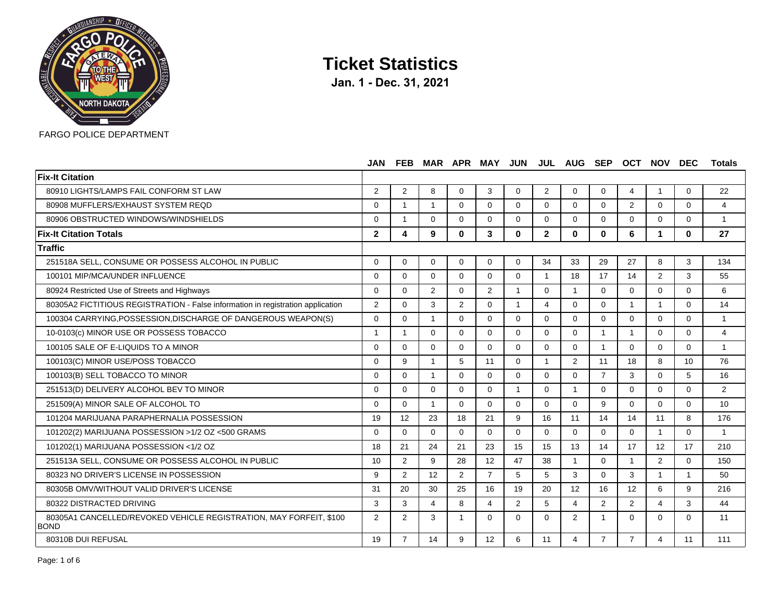

|                                                                                   | <b>JAN</b>     | <b>FEB</b>     |                |                | MAR APR MAY JUN |                |                | JUL AUG        | <b>SEP</b>     | <b>OCT</b>     | <b>NOV</b>     | <b>DEC</b>     | <b>Totals</b>           |
|-----------------------------------------------------------------------------------|----------------|----------------|----------------|----------------|-----------------|----------------|----------------|----------------|----------------|----------------|----------------|----------------|-------------------------|
| <b>Fix-It Citation</b>                                                            |                |                |                |                |                 |                |                |                |                |                |                |                |                         |
| 80910 LIGHTS/LAMPS FAIL CONFORM ST LAW                                            | 2              | $\overline{2}$ | 8              | $\Omega$       | 3               | $\Omega$       | $\overline{2}$ | $\Omega$       | $\mathbf 0$    | 4              | -1             | 0              | 22                      |
| 80908 MUFFLERS/EXHAUST SYSTEM REQD                                                | $\Omega$       | $\mathbf{1}$   | $\mathbf{1}$   | $\Omega$       | $\Omega$        | $\Omega$       | $\Omega$       | $\Omega$       | $\Omega$       | $\overline{2}$ | $\Omega$       | $\Omega$       | $\overline{4}$          |
| 80906 OBSTRUCTED WINDOWS/WINDSHIELDS                                              | $\Omega$       | $\overline{1}$ | $\Omega$       | $\Omega$       | $\Omega$        | $\Omega$       | $\Omega$       | $\Omega$       | $\Omega$       | $\Omega$       | $\Omega$       | 0              | $\overline{1}$          |
| <b>Fix-It Citation Totals</b>                                                     | $\overline{2}$ | 4              | 9              | $\mathbf{0}$   | 3               | $\mathbf{0}$   | $\mathbf{2}$   | $\mathbf{0}$   | $\mathbf{0}$   | 6              | 1              | $\mathbf{0}$   | 27                      |
| <b>Traffic</b>                                                                    |                |                |                |                |                 |                |                |                |                |                |                |                |                         |
| 251518A SELL, CONSUME OR POSSESS ALCOHOL IN PUBLIC                                | $\Omega$       | $\Omega$       | $\Omega$       | $\Omega$       | $\Omega$        | $\Omega$       | 34             | 33             | 29             | 27             | 8              | 3              | 134                     |
| 100101 MIP/MCA/UNDER INFLUENCE                                                    | $\Omega$       | $\Omega$       | $\Omega$       | $\Omega$       | $\Omega$        | $\Omega$       | $\overline{1}$ | 18             | 17             | 14             | $\overline{2}$ | 3              | 55                      |
| 80924 Restricted Use of Streets and Highways                                      | $\Omega$       | $\Omega$       | $\overline{2}$ | $\Omega$       | $\overline{2}$  | $\mathbf{1}$   | $\Omega$       | $\mathbf{1}$   | $\Omega$       | $\Omega$       | $\overline{0}$ | $\Omega$       | 6                       |
| 80305A2 FICTITIOUS REGISTRATION - False information in registration application   | 2              | $\Omega$       | 3              | $\overline{2}$ | $\Omega$        | -1             | 4              | $\Omega$       | $\Omega$       | 1              | $\overline{1}$ | 0              | 14                      |
| 100304 CARRYING, POSSESSION, DISCHARGE OF DANGEROUS WEAPON(S)                     | $\Omega$       | $\Omega$       | $\overline{1}$ | $\Omega$       | $\Omega$        | $\Omega$       | $\Omega$       | $\Omega$       | $\Omega$       | $\Omega$       | $\Omega$       | $\Omega$       | $\overline{1}$          |
| 10-0103(c) MINOR USE OR POSSESS TOBACCO                                           | $\mathbf{1}$   | $\mathbf{1}$   | $\Omega$       | $\Omega$       | $\Omega$        | $\Omega$       | $\Omega$       | $\Omega$       | $\mathbf{1}$   | 1              | $\Omega$       | 0              | $\overline{4}$          |
| 100105 SALE OF E-LIQUIDS TO A MINOR                                               | $\Omega$       | $\Omega$       | $\Omega$       | $\Omega$       | $\Omega$        | $\Omega$       | $\Omega$       | $\Omega$       | 1              | $\Omega$       | $\Omega$       | 0              | $\overline{\mathbf{1}}$ |
| 100103(C) MINOR USE/POSS TOBACCO                                                  | $\Omega$       | 9              |                | 5              | 11              | $\Omega$       | -1             | $\overline{2}$ | 11             | 18             | 8              | 10             | 76                      |
| 100103(B) SELL TOBACCO TO MINOR                                                   | $\mathbf{0}$   | $\Omega$       | $\overline{1}$ | $\Omega$       | $\Omega$        | $\Omega$       | $\Omega$       | $\Omega$       | $\overline{7}$ | 3              | $\Omega$       | 5              | 16                      |
| 251513(D) DELIVERY ALCOHOL BEV TO MINOR                                           | $\Omega$       | $\Omega$       | $\Omega$       | $\Omega$       | $\Omega$        | $\overline{1}$ | $\Omega$       | $\overline{1}$ | $\Omega$       | $\Omega$       | $\Omega$       | 0              | 2                       |
| 251509(A) MINOR SALE OF ALCOHOL TO                                                | $\Omega$       | $\Omega$       |                | $\Omega$       | $\Omega$        | $\Omega$       | $\Omega$       | $\Omega$       | 9              | $\Omega$       | $\Omega$       | 0              | 10                      |
| 101204 MARIJUANA PARAPHERNALIA POSSESSION                                         | 19             | 12             | 23             | 18             | 21              | 9              | 16             | 11             | 14             | 14             | 11             | 8              | 176                     |
| 101202(2) MARIJUANA POSSESSION >1/2 OZ <500 GRAMS                                 | $\Omega$       | $\Omega$       | $\Omega$       | $\Omega$       | $\Omega$        | $\overline{0}$ | $\Omega$       | $\Omega$       | $\mathbf 0$    | $\Omega$       | $\mathbf{1}$   | 0              | $\overline{1}$          |
| 101202(1) MARIJUANA POSSESSION <1/2 OZ                                            | 18             | 21             | 24             | 21             | 23              | 15             | 15             | 13             | 14             | 17             | 12             | 17             | 210                     |
| 251513A SELL, CONSUME OR POSSESS ALCOHOL IN PUBLIC                                | 10             | $\overline{2}$ | 9              | 28             | 12              | 47             | 38             | 1              | 0              | 1              | $\overline{2}$ | 0              | 150                     |
| 80323 NO DRIVER'S LICENSE IN POSSESSION                                           | 9              | 2              | 12             | $\overline{2}$ | $\overline{7}$  | 5              | 5              | 3              | $\Omega$       | 3              | $\overline{1}$ | $\overline{1}$ | 50                      |
| 80305B OMV/WITHOUT VALID DRIVER'S LICENSE                                         | 31             | 20             | 30             | 25             | 16              | 19             | 20             | 12             | 16             | 12             | 6              | 9              | 216                     |
| 80322 DISTRACTED DRIVING                                                          | 3              | 3              | $\overline{4}$ | 8              | $\overline{4}$  | $\overline{2}$ | 5              | 4              | $\overline{2}$ | $\overline{2}$ | 4              | 3              | 44                      |
| 80305A1 CANCELLED/REVOKED VEHICLE REGISTRATION, MAY FORFEIT, \$100<br><b>BOND</b> | 2              | $\overline{2}$ | 3              |                | $\Omega$        | $\Omega$       | $\Omega$       | $\overline{2}$ | 1              | $\Omega$       | $\Omega$       | 0              | 11                      |
| 80310B DUI REFUSAL                                                                | 19             | $\overline{7}$ | 14             | 9              | 12              | 6              | 11             | 4              | $\overline{7}$ | $\overline{7}$ | 4              | 11             | 111                     |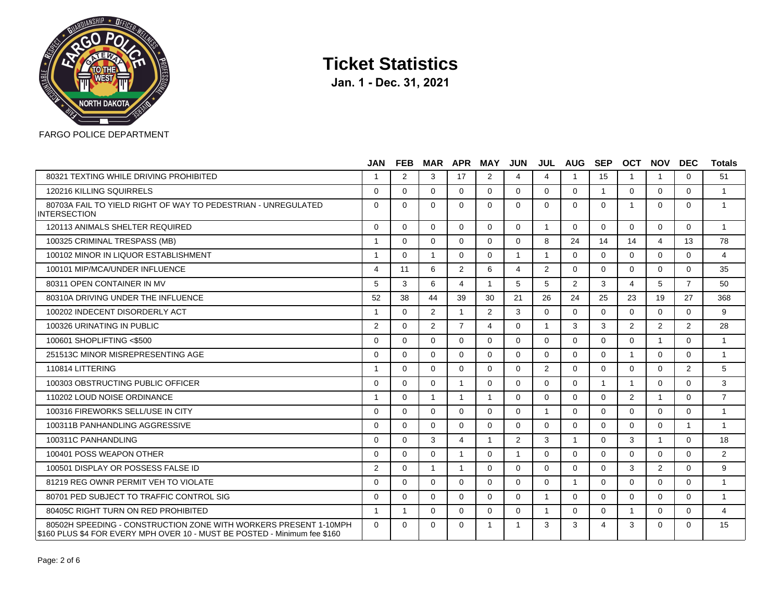

|                                                                                                                                               | <b>JAN</b>     | <b>FEB</b>   |                | <b>MAR APR</b> | <b>MAY JUN</b> |                |                | <b>JUL AUG</b> | SEP            | <b>OCT</b>     | <b>NOV</b>              | <b>DEC</b>     | <b>Totals</b>  |
|-----------------------------------------------------------------------------------------------------------------------------------------------|----------------|--------------|----------------|----------------|----------------|----------------|----------------|----------------|----------------|----------------|-------------------------|----------------|----------------|
| 80321 TEXTING WHILE DRIVING PROHIBITED                                                                                                        |                | 2            | 3              | 17             | 2              | 4              | 4              |                | 15             | $\overline{1}$ | $\overline{1}$          | $\Omega$       | 51             |
| 120216 KILLING SQUIRRELS                                                                                                                      | $\Omega$       | $\Omega$     | 0              | $\Omega$       | $\Omega$       | $\Omega$       | $\Omega$       | $\Omega$       | $\overline{1}$ | $\Omega$       | $\Omega$                | $\Omega$       | $\mathbf{1}$   |
| 80703A FAIL TO YIELD RIGHT OF WAY TO PEDESTRIAN - UNREGULATED<br>INTERSECTION                                                                 | $\Omega$       | $\Omega$     | $\Omega$       | $\Omega$       | $\Omega$       | $\Omega$       | $\Omega$       | $\Omega$       | $\Omega$       | $\overline{1}$ | $\Omega$                | $\Omega$       | $\mathbf{1}$   |
| 120113 ANIMALS SHELTER REQUIRED                                                                                                               | $\Omega$       | $\Omega$     | $\Omega$       | $\Omega$       | $\Omega$       | $\Omega$       | $\overline{1}$ | $\Omega$       | $\Omega$       | $\Omega$       | $\Omega$                | $\Omega$       | $\overline{1}$ |
| 100325 CRIMINAL TRESPASS (MB)                                                                                                                 | $\overline{1}$ | $\Omega$     | $\Omega$       | $\Omega$       | $\Omega$       | $\Omega$       | 8              | 24             | 14             | 14             | $\overline{\mathbf{4}}$ | 13             | 78             |
| 100102 MINOR IN LIQUOR ESTABLISHMENT                                                                                                          | -1             | $\Omega$     | $\mathbf{1}$   | $\Omega$       | $\Omega$       | $\overline{1}$ | $\overline{1}$ | $\Omega$       | $\Omega$       | $\mathbf{0}$   | $\Omega$                | $\Omega$       | $\overline{4}$ |
| 100101 MIP/MCA/UNDER INFLUENCE                                                                                                                | 4              | 11           | 6              | $\overline{2}$ | 6              | 4              | 2              | $\Omega$       | $\Omega$       | $\Omega$       | $\Omega$                | $\Omega$       | 35             |
| 80311 OPEN CONTAINER IN MV                                                                                                                    | 5              | 3            | 6              | 4              | $\overline{1}$ | 5              | 5              | 2              | 3              | $\overline{4}$ | 5                       | $\overline{7}$ | 50             |
| 80310A DRIVING UNDER THE INFLUENCE                                                                                                            | 52             | 38           | 44             | 39             | 30             | 21             | 26             | 24             | 25             | 23             | 19                      | 27             | 368            |
| 100202 INDECENT DISORDERLY ACT                                                                                                                | 1              | $\Omega$     | $\overline{2}$ | $\mathbf{1}$   | $\overline{2}$ | 3              | $\Omega$       | $\Omega$       | $\Omega$       | $\Omega$       | $\Omega$                | $\Omega$       | 9              |
| 100326 URINATING IN PUBLIC                                                                                                                    | 2              | $\Omega$     | $\overline{2}$ | $\overline{7}$ | 4              | $\Omega$       | -1             | 3              | 3              | 2              | 2                       | $\mathfrak{p}$ | 28             |
| 100601 SHOPLIFTING <\$500                                                                                                                     | $\Omega$       | $\Omega$     | $\Omega$       | $\Omega$       | $\Omega$       | $\Omega$       | $\Omega$       | $\Omega$       | $\Omega$       | $\Omega$       | $\overline{1}$          | $\Omega$       | $\mathbf{1}$   |
| 251513C MINOR MISREPRESENTING AGE                                                                                                             | $\Omega$       | $\Omega$     | $\Omega$       | $\Omega$       | $\Omega$       | $\Omega$       | $\Omega$       | $\Omega$       | $\Omega$       | $\overline{1}$ | $\Omega$                | $\Omega$       | $\mathbf{1}$   |
| 110814 LITTERING                                                                                                                              | $\overline{1}$ | $\Omega$     | $\Omega$       | $\Omega$       | $\Omega$       | $\Omega$       | 2              | $\Omega$       | $\Omega$       | $\Omega$       | $\Omega$                | 2              | 5              |
| 100303 OBSTRUCTING PUBLIC OFFICER                                                                                                             | $\Omega$       | $\Omega$     | $\Omega$       | 1              | $\Omega$       | $\Omega$       | $\Omega$       | $\Omega$       | -1             | $\overline{1}$ | $\Omega$                | $\Omega$       | 3              |
| 110202 LOUD NOISE ORDINANCE                                                                                                                   | $\mathbf{1}$   | $\Omega$     | $\mathbf{1}$   | $\mathbf{1}$   | $\overline{1}$ | $\Omega$       | $\Omega$       | $\Omega$       | $\Omega$       | 2              | $\overline{1}$          | $\Omega$       | $\overline{7}$ |
| 100316 FIREWORKS SELL/USE IN CITY                                                                                                             | $\Omega$       | $\Omega$     | $\Omega$       | $\Omega$       | $\Omega$       | $\Omega$       | $\overline{1}$ | $\Omega$       | $\Omega$       | $\Omega$       | $\Omega$                | $\Omega$       | $\mathbf{1}$   |
| 100311B PANHANDLING AGGRESSIVE                                                                                                                | $\Omega$       | $\Omega$     | $\Omega$       | $\Omega$       | $\Omega$       | $\Omega$       | $\Omega$       | $\Omega$       | $\Omega$       | $\Omega$       | $\Omega$                | $\overline{1}$ | $\mathbf{1}$   |
| 100311C PANHANDLING                                                                                                                           | $\Omega$       | $\Omega$     | 3              | 4              | -1             | 2              | 3              | $\overline{1}$ | $\Omega$       | 3              | $\overline{1}$          | $\Omega$       | 18             |
| 100401 POSS WEAPON OTHER                                                                                                                      | $\Omega$       | $\Omega$     | 0              | 1              | $\Omega$       | -1             | $\Omega$       | $\Omega$       | $\Omega$       | $\Omega$       | $\Omega$                | $\Omega$       | $\overline{2}$ |
| 100501 DISPLAY OR POSSESS FALSE ID                                                                                                            | 2              | $\Omega$     | 1              | $\mathbf{1}$   | $\Omega$       | $\Omega$       | $\Omega$       | $\Omega$       | $\Omega$       | 3              | 2                       | $\Omega$       | 9              |
| 81219 REG OWNR PERMIT VEH TO VIOLATE                                                                                                          | $\Omega$       | $\Omega$     | $\Omega$       | $\Omega$       | $\Omega$       | $\Omega$       | $\Omega$       | $\overline{1}$ | $\Omega$       | $\mathbf{0}$   | $\Omega$                | $\Omega$       | $\mathbf{1}$   |
| 80701 PED SUBJECT TO TRAFFIC CONTROL SIG                                                                                                      | $\Omega$       | $\Omega$     | $\Omega$       | $\Omega$       | $\Omega$       | $\Omega$       | $\overline{1}$ | $\Omega$       | $\Omega$       | $\Omega$       | $\Omega$                | $\Omega$       | $\mathbf{1}$   |
| 80405C RIGHT TURN ON RED PROHIBITED                                                                                                           | $\overline{1}$ | $\mathbf{1}$ | $\Omega$       | $\Omega$       | $\Omega$       | $\Omega$       | $\overline{1}$ | $\Omega$       | $\Omega$       | $\overline{1}$ | $\Omega$                | $\Omega$       | $\overline{4}$ |
| 80502H SPEEDING - CONSTRUCTION ZONE WITH WORKERS PRESENT 1-10MPH<br>\$160 PLUS \$4 FOR EVERY MPH OVER 10 - MUST BE POSTED - Minimum fee \$160 | $\Omega$       | $\Omega$     | 0              | $\Omega$       | 1              |                | 3              | 3              | $\overline{4}$ | 3              | $\Omega$                | $\Omega$       | 15             |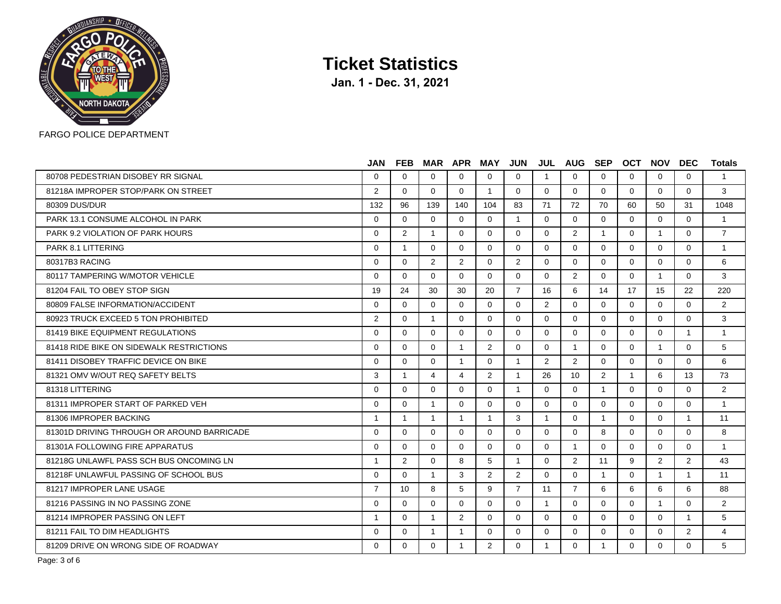

|                                            | <b>JAN</b>     | <b>FEB</b>           |                | <b>MAR APR</b> | <b>MAY</b>     | <b>JUN</b>     |              | <b>JUL AUG</b> | <b>SEP</b>     | OCT          | <b>NOV</b>     | <b>DEC</b>     | <b>Totals</b>  |
|--------------------------------------------|----------------|----------------------|----------------|----------------|----------------|----------------|--------------|----------------|----------------|--------------|----------------|----------------|----------------|
| 80708 PEDESTRIAN DISOBEY RR SIGNAL         | $\Omega$       | $\Omega$             | $\Omega$       | $\Omega$       | $\Omega$       | $\Omega$       | -1           | $\Omega$       | $\Omega$       | $\Omega$     | $\Omega$       | $\Omega$       | $\mathbf{1}$   |
| 81218A IMPROPER STOP/PARK ON STREET        | 2              | $\Omega$             | $\Omega$       | $\Omega$       | 1              | $\Omega$       | $\Omega$     | $\Omega$       | $\Omega$       | $\Omega$     | $\Omega$       | $\Omega$       | 3              |
| 80309 DUS/DUR                              | 132            | 96                   | 139            | 140            | 104            | 83             | 71           | 72             | 70             | 60           | 50             | 31             | 1048           |
| PARK 13.1 CONSUME ALCOHOL IN PARK          | $\Omega$       | $\Omega$             | $\Omega$       | $\Omega$       | $\Omega$       | $\mathbf{1}$   | $\Omega$     | $\Omega$       | $\Omega$       | $\Omega$     | $\Omega$       | $\Omega$       | $\overline{1}$ |
| PARK 9.2 VIOLATION OF PARK HOURS           | $\Omega$       | $\mathbf{2}^{\circ}$ | -1             | $\Omega$       | $\Omega$       | $\Omega$       | $\Omega$     | $\overline{2}$ | 1              | $\Omega$     | $\mathbf 1$    | $\Omega$       | $\overline{7}$ |
| PARK 8.1 LITTERING                         | $\Omega$       | $\overline{1}$       | $\Omega$       | $\Omega$       | $\Omega$       | $\Omega$       | $\Omega$     | $\Omega$       | $\Omega$       | $\Omega$     | $\Omega$       | $\Omega$       | $\mathbf{1}$   |
| 80317B3 RACING                             | $\Omega$       | $\Omega$             | $\overline{2}$ | $\overline{2}$ | $\Omega$       | 2              | $\Omega$     | $\Omega$       | $\Omega$       | $\Omega$     | $\Omega$       | $\Omega$       | 6              |
| 80117 TAMPERING W/MOTOR VEHICLE            | $\Omega$       | $\Omega$             | $\Omega$       | $\Omega$       | $\Omega$       | $\Omega$       | $\Omega$     | $\overline{2}$ | $\Omega$       | $\Omega$     | $\mathbf{1}$   | $\Omega$       | 3              |
| 81204 FAIL TO OBEY STOP SIGN               | 19             | 24                   | 30             | 30             | 20             | $\overline{7}$ | 16           | 6              | 14             | 17           | 15             | 22             | 220            |
| 80809 FALSE INFORMATION/ACCIDENT           | $\Omega$       | $\Omega$             | $\Omega$       | $\Omega$       | $\Omega$       | $\Omega$       | 2            | $\Omega$       | $\Omega$       | $\Omega$     | $\Omega$       | $\Omega$       | 2              |
| 80923 TRUCK EXCEED 5 TON PROHIBITED        | 2              | $\Omega$             | 1              | $\Omega$       | $\Omega$       | $\Omega$       | $\Omega$     | $\Omega$       | $\Omega$       | $\Omega$     | $\Omega$       | $\Omega$       | 3              |
| 81419 BIKE EQUIPMENT REGULATIONS           | $\Omega$       | $\Omega$             | $\Omega$       | $\Omega$       | $\Omega$       | $\Omega$       | $\Omega$     | $\Omega$       | $\Omega$       | $\Omega$     | $\Omega$       | $\mathbf{1}$   | $\mathbf{1}$   |
| 81418 RIDE BIKE ON SIDEWALK RESTRICTIONS   | $\Omega$       | $\Omega$             | $\Omega$       | $\mathbf{1}$   | $\overline{2}$ | $\Omega$       | $\Omega$     | $\mathbf{1}$   | $\Omega$       | $\Omega$     | $\overline{1}$ | $\Omega$       | 5              |
| 81411 DISOBEY TRAFFIC DEVICE ON BIKE       | $\Omega$       | $\Omega$             | $\Omega$       | $\mathbf{1}$   | $\Omega$       | 1              | 2            | $\overline{2}$ | $\Omega$       | $\Omega$     | $\mathbf 0$    | $\Omega$       | 6              |
| 81321 OMV W/OUT REQ SAFETY BELTS           | 3              | $\overline{1}$       | 4              | $\overline{a}$ | $\overline{2}$ | $\mathbf{1}$   | 26           | 10             | $\overline{2}$ | $\mathbf{1}$ | 6              | 13             | 73             |
| 81318 LITTERING                            | $\Omega$       | $\Omega$             | $\Omega$       | $\Omega$       | $\Omega$       | $\overline{1}$ | $\Omega$     | $\Omega$       | $\mathbf{1}$   | $\Omega$     | $\Omega$       | $\Omega$       | 2              |
| 81311 IMPROPER START OF PARKED VEH         | $\Omega$       | $\Omega$             | -1             | $\Omega$       | $\Omega$       | $\Omega$       | $\Omega$     | $\Omega$       | $\Omega$       | $\Omega$     | $\Omega$       | $\Omega$       | $\mathbf{1}$   |
| 81306 IMPROPER BACKING                     | $\mathbf{1}$   | $\overline{1}$       | $\mathbf{1}$   | $\mathbf{1}$   | $\mathbf{1}$   | 3              | $\mathbf{1}$ | $\Omega$       | $\mathbf{1}$   | $\Omega$     | $\Omega$       | $\mathbf{1}$   | 11             |
| 81301D DRIVING THROUGH OR AROUND BARRICADE | $\Omega$       | $\Omega$             | $\Omega$       | $\Omega$       | $\Omega$       | $\Omega$       | $\Omega$     | $\Omega$       | 8              | $\Omega$     | $\Omega$       | $\Omega$       | 8              |
| 81301A FOLLOWING FIRE APPARATUS            | $\Omega$       | $\Omega$             | $\Omega$       | $\Omega$       | $\Omega$       | $\Omega$       | $\Omega$     | $\mathbf{1}$   | $\Omega$       | $\Omega$     | $\Omega$       | $\Omega$       | $\mathbf{1}$   |
| 81218G UNLAWEL PASS SCH BUS ONCOMING LN    | $\overline{1}$ | $\mathbf{2}^{\circ}$ | $\Omega$       | 8              | 5              | 1              | $\Omega$     | $\overline{2}$ | 11             | 9            | 2              | 2              | 43             |
| 81218F UNLAWFUL PASSING OF SCHOOL BUS      | $\Omega$       | $\Omega$             | $\mathbf{1}$   | 3              | $\overline{2}$ | 2              | $\Omega$     | $\Omega$       | $\overline{1}$ | $\Omega$     | $\mathbf{1}$   | $\mathbf{1}$   | 11             |
| 81217 IMPROPER LANE USAGE                  | $\overline{7}$ | 10                   | 8              | 5              | 9              | $\overline{7}$ | 11           | $\overline{7}$ | 6              | 6            | 6              | 6              | 88             |
| 81216 PASSING IN NO PASSING ZONE           | $\Omega$       | $\Omega$             | $\Omega$       | $\Omega$       | $\Omega$       | $\Omega$       | $\mathbf{1}$ | $\Omega$       | $\Omega$       | $\Omega$     | $\mathbf{1}$   | $\Omega$       | 2              |
| 81214 IMPROPER PASSING ON LEFT             | $\overline{1}$ | $\Omega$             | $\mathbf{1}$   | $\overline{2}$ | $\Omega$       | $\Omega$       | $\Omega$     | $\Omega$       | $\Omega$       | $\Omega$     | $\Omega$       | $\mathbf{1}$   | 5              |
| 81211 FAIL TO DIM HEADLIGHTS               | $\Omega$       | $\Omega$             | $\mathbf{1}$   | $\mathbf{1}$   | $\Omega$       | $\Omega$       | $\Omega$     | $\Omega$       | $\Omega$       | $\Omega$     | $\mathbf 0$    | $\overline{2}$ | 4              |
| 81209 DRIVE ON WRONG SIDE OF ROADWAY       | $\Omega$       | $\Omega$             | $\Omega$       | $\mathbf{1}$   | $\overline{2}$ | $\Omega$       | $\mathbf{1}$ | $\Omega$       | $\mathbf{1}$   | $\Omega$     | $\Omega$       | $\Omega$       | 5              |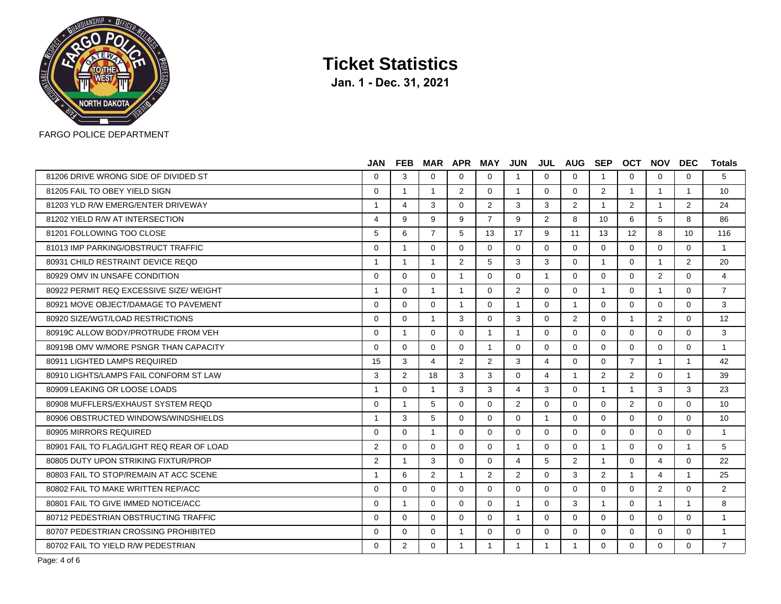

**Jan. 1 - Dec. 31, 2021**

|                                           | <b>JAN</b>     | <b>FEB</b>   |                | <b>MAR APR</b> | MAY            | <b>JUN</b>              |                | JUL AUG SEP    |                         | <b>OCT</b>     | <b>NOV</b>     | <b>DEC</b>     | <b>Totals</b>  |
|-------------------------------------------|----------------|--------------|----------------|----------------|----------------|-------------------------|----------------|----------------|-------------------------|----------------|----------------|----------------|----------------|
| 81206 DRIVE WRONG SIDE OF DIVIDED ST      | $\Omega$       | 3            | $\Omega$       | 0              | 0              | $\overline{1}$          | $\Omega$       | $\Omega$       | -1                      | $\Omega$       | $\Omega$       | $\Omega$       | 5              |
| 81205 FAIL TO OBEY YIELD SIGN             | $\Omega$       | $\mathbf{1}$ | $\mathbf{1}$   | 2              | $\Omega$       | $\overline{1}$          | $\Omega$       | $\Omega$       | 2                       | $\mathbf{1}$   | $\overline{1}$ | $\overline{1}$ | 10             |
| 81203 YLD R/W EMERG/ENTER DRIVEWAY        | 1              | 4            | 3              | $\Omega$       | $\overline{2}$ | 3                       | 3              | 2              | $\overline{1}$          | 2              | $\overline{1}$ | 2              | 24             |
| 81202 YIELD R/W AT INTERSECTION           | 4              | 9            | 9              | 9              | $\overline{7}$ | 9                       | 2              | 8              | 10                      | 6              | 5              | 8              | 86             |
| 81201 FOLLOWING TOO CLOSE                 | 5              | 6            | $\overline{7}$ | 5              | 13             | 17                      | 9              | 11             | 13                      | 12             | 8              | 10             | 116            |
| 81013 IMP PARKING/OBSTRUCT TRAFFIC        | $\Omega$       | $\mathbf{1}$ | $\Omega$       | $\Omega$       | $\Omega$       | $\Omega$                | $\Omega$       | $\Omega$       | $\Omega$                | $\Omega$       | $\Omega$       | $\Omega$       | $\mathbf{1}$   |
| 80931 CHILD RESTRAINT DEVICE REOD         | $\mathbf{1}$   | $\mathbf{1}$ | $\mathbf{1}$   | 2              | 5              | 3                       | 3              | $\Omega$       | $\overline{\mathbf{1}}$ | $\Omega$       | $\overline{1}$ | 2              | 20             |
| 80929 OMV IN UNSAFE CONDITION             | $\Omega$       | $\Omega$     | 0              | 1              | $\Omega$       | $\Omega$                | -1             | $\Omega$       | $\Omega$                | $\Omega$       | 2              | $\Omega$       | $\overline{4}$ |
| 80922 PERMIT REQ EXCESSIVE SIZE/ WEIGHT   | $\overline{1}$ | $\Omega$     | $\mathbf{1}$   | $\mathbf{1}$   | $\Omega$       | 2                       | $\Omega$       | $\Omega$       | $\overline{1}$          | $\Omega$       | $\overline{1}$ | $\Omega$       | $\overline{7}$ |
| 80921 MOVE OBJECT/DAMAGE TO PAVEMENT      | $\Omega$       | $\Omega$     | $\Omega$       | $\mathbf{1}$   | $\Omega$       | $\overline{\mathbf{1}}$ | $\Omega$       | $\overline{1}$ | $\Omega$                | $\Omega$       | $\Omega$       | $\Omega$       | 3              |
| 80920 SIZE/WGT/LOAD RESTRICTIONS          | $\Omega$       | $\Omega$     | $\mathbf 1$    | 3              | $\Omega$       | 3                       | $\Omega$       | 2              | $\Omega$                | $\overline{1}$ | 2              | $\Omega$       | 12             |
| 80919C ALLOW BODY/PROTRUDE FROM VEH       | $\Omega$       | $\mathbf{1}$ | $\Omega$       | $\Omega$       | $\overline{1}$ | $\overline{1}$          | $\Omega$       | $\Omega$       | $\Omega$                | $\Omega$       | $\Omega$       | $\Omega$       | 3              |
| 80919B OMV W/MORE PSNGR THAN CAPACITY     | $\Omega$       | $\Omega$     | $\Omega$       | $\Omega$       | $\overline{1}$ | $\Omega$                | $\Omega$       | $\Omega$       | $\Omega$                | $\Omega$       | $\Omega$       | $\Omega$       | $\mathbf{1}$   |
| 80911 LIGHTED LAMPS REQUIRED              | 15             | 3            | 4              | $\overline{2}$ | 2              | 3                       | 4              | $\Omega$       | $\Omega$                | $\overline{7}$ | $\overline{1}$ | $\overline{1}$ | 42             |
| 80910 LIGHTS/LAMPS FAIL CONFORM ST LAW    | 3              | 2            | 18             | 3              | 3              | $\Omega$                | 4              | $\overline{1}$ | 2                       | 2              | $\Omega$       | $\overline{1}$ | 39             |
| 80909 LEAKING OR LOOSE LOADS              | $\mathbf{1}$   | $\Omega$     | $\mathbf{1}$   | 3              | 3              | 4                       | 3              | $\Omega$       | $\overline{1}$          | $\overline{1}$ | 3              | 3              | 23             |
| 80908 MUFFLERS/EXHAUST SYSTEM REOD        | $\Omega$       | $\mathbf{1}$ | 5              | $\Omega$       | $\Omega$       | $\overline{2}$          | $\Omega$       | $\Omega$       | $\Omega$                | $\overline{2}$ | $\Omega$       | $\Omega$       | 10             |
| 80906 OBSTRUCTED WINDOWS/WINDSHIELDS      | $\mathbf{1}$   | 3            | 5              | $\Omega$       | $\Omega$       | $\Omega$                | $\overline{1}$ | $\Omega$       | $\Omega$                | $\Omega$       | $\mathbf{0}$   | $\mathbf{0}$   | 10             |
| 80905 MIRRORS REQUIRED                    | $\Omega$       | $\Omega$     | $\overline{1}$ | $\Omega$       | $\Omega$       | $\Omega$                | $\Omega$       | $\Omega$       | $\Omega$                | $\Omega$       | $\Omega$       | $\Omega$       | $\mathbf{1}$   |
| 80901 FAIL TO FLAG/LIGHT REQ REAR OF LOAD | 2              | $\Omega$     | $\Omega$       | $\Omega$       | $\Omega$       | $\overline{1}$          | $\Omega$       | $\Omega$       | $\overline{1}$          | $\Omega$       | $\Omega$       | $\overline{1}$ | 5              |
| 80805 DUTY UPON STRIKING FIXTUR/PROP      | 2              | $\mathbf{1}$ | $\mathbf{3}$   | $\Omega$       | $\Omega$       | 4                       | 5              | 2              | $\overline{\mathbf{1}}$ | $\Omega$       | 4              | $\Omega$       | 22             |
| 80803 FAIL TO STOP/REMAIN AT ACC SCENE    | $\mathbf{1}$   | 6            | 2              | $\mathbf{1}$   | $\overline{2}$ | 2                       | $\Omega$       | 3              | 2                       | $\overline{1}$ | 4              | $\overline{1}$ | 25             |
| 80802 FAIL TO MAKE WRITTEN REP/ACC        | $\Omega$       | $\Omega$     | $\Omega$       | $\Omega$       | $\Omega$       | $\Omega$                | $\Omega$       | $\Omega$       | $\Omega$                | $\Omega$       | 2              | $\Omega$       | 2              |
| 80801 FAIL TO GIVE IMMED NOTICE/ACC       | $\Omega$       | $\mathbf{1}$ | $\Omega$       | $\Omega$       | $\Omega$       | $\overline{1}$          | $\Omega$       | 3              | $\overline{\mathbf{1}}$ | $\Omega$       | $\overline{1}$ | $\overline{1}$ | 8              |
| 80712 PEDESTRIAN OBSTRUCTING TRAFFIC      | $\Omega$       | $\Omega$     | $\Omega$       | $\Omega$       | $\Omega$       | $\overline{1}$          | $\Omega$       | $\Omega$       | $\Omega$                | $\Omega$       | $\Omega$       | $\Omega$       | $\overline{1}$ |
| 80707 PEDESTRIAN CROSSING PROHIBITED      | $\Omega$       | $\Omega$     | $\Omega$       | $\mathbf{1}$   | $\Omega$       | $\Omega$                | $\Omega$       | $\Omega$       | $\Omega$                | $\Omega$       | $\Omega$       | $\Omega$       | $\overline{1}$ |
| 80702 FAIL TO YIELD R/W PEDESTRIAN        | $\Omega$       | 2            | $\Omega$       | $\mathbf{1}$   | $\mathbf{1}$   | $\overline{1}$          | $\overline{1}$ | $\overline{1}$ | $\Omega$                | $\Omega$       | $\Omega$       | $\Omega$       | $\overline{7}$ |

Page: 4 of 6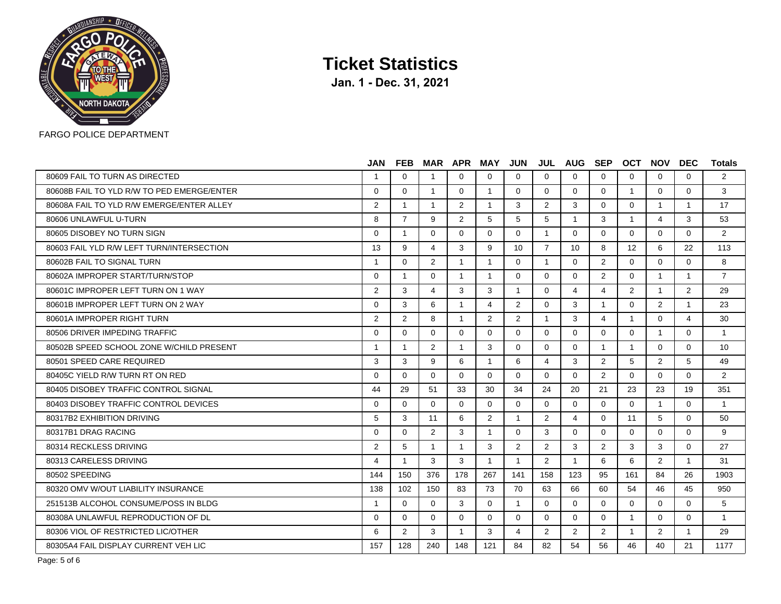

|                                            | <b>JAN</b>     | FEB            |                | <b>MAR APR</b> | MAY            | JUN            |                | <b>JUL AUG SEP</b> |                | OCT            | <b>NOV</b>              | <b>DEC</b>              | <b>Totals</b>  |
|--------------------------------------------|----------------|----------------|----------------|----------------|----------------|----------------|----------------|--------------------|----------------|----------------|-------------------------|-------------------------|----------------|
| 80609 FAIL TO TURN AS DIRECTED             | -1             | $\Omega$       | 1              | $\Omega$       | $\Omega$       | $\Omega$       | $\Omega$       | $\Omega$           | $\Omega$       | $\Omega$       | $\Omega$                | $\Omega$                | $\overline{2}$ |
| 80608B FAIL TO YLD R/W TO PED EMERGE/ENTER | $\Omega$       | $\Omega$       | $\mathbf{1}$   | $\Omega$       | $\mathbf{1}$   | $\Omega$       | $\Omega$       | $\Omega$           | $\Omega$       | $\overline{1}$ | $\Omega$                | $\Omega$                | 3              |
| 80608A FAIL TO YLD R/W EMERGE/ENTER ALLEY  | 2              | $\mathbf{1}$   | $\mathbf{1}$   | $\overline{2}$ | $\mathbf{1}$   | 3              | $\overline{2}$ | 3                  | 0              | $\Omega$       | $\overline{\mathbf{1}}$ | $\overline{\mathbf{1}}$ | 17             |
| 80606 UNLAWFUL U-TURN                      | 8              | $\overline{7}$ | 9              | $\overline{2}$ | 5              | 5              | 5              | $\overline{1}$     | 3              | $\overline{1}$ | $\overline{4}$          | 3                       | 53             |
| 80605 DISOBEY NO TURN SIGN                 | $\Omega$       | $\mathbf{1}$   | $\Omega$       | $\Omega$       | $\Omega$       | $\Omega$       | $\mathbf{1}$   | $\Omega$           | $\Omega$       | $\Omega$       | $\Omega$                | $\Omega$                | 2              |
| 80603 FAIL YLD R/W LEFT TURN/INTERSECTION  | 13             | 9              | 4              | 3              | 9              | 10             | $\overline{7}$ | 10                 | 8              | 12             | 6                       | 22                      | 113            |
| 80602B FAIL TO SIGNAL TURN                 | $\mathbf 1$    | $\Omega$       | $\overline{2}$ | $\mathbf{1}$   | 1              | $\Omega$       | $\mathbf{1}$   | $\Omega$           | $\overline{2}$ | $\Omega$       | $\Omega$                | $\Omega$                | 8              |
| 80602A IMPROPER START/TURN/STOP            | $\Omega$       | $\mathbf{1}$   | $\Omega$       | $\mathbf{1}$   | 1              | $\Omega$       | $\Omega$       | $\Omega$           | $\overline{2}$ | $\Omega$       | $\overline{1}$          | $\overline{1}$          | $\overline{7}$ |
| 80601C IMPROPER LEFT TURN ON 1 WAY         | 2              | 3              | 4              | 3              | 3              | $\mathbf{1}$   | $\Omega$       | 4                  | 4              | $\overline{2}$ | $\overline{1}$          | 2                       | 29             |
| 80601B IMPROPER LEFT TURN ON 2 WAY         | $\Omega$       | 3              | 6              | $\mathbf{1}$   | 4              | 2              | $\Omega$       | 3                  | $\mathbf{1}$   | $\Omega$       | 2                       | $\overline{\mathbf{1}}$ | 23             |
| 80601A IMPROPER RIGHT TURN                 | 2              | $\overline{2}$ | 8              | $\mathbf{1}$   | $\overline{2}$ | $\overline{2}$ | 1              | 3                  | 4              | -1             | $\Omega$                | 4                       | 30             |
| 80506 DRIVER IMPEDING TRAFFIC              | $\Omega$       | $\Omega$       | $\Omega$       | $\Omega$       | $\Omega$       | $\Omega$       | $\Omega$       | $\Omega$           | $\Omega$       | $\Omega$       | $\overline{1}$          | $\Omega$                | $\overline{1}$ |
| 80502B SPEED SCHOOL ZONE W/CHILD PRESENT   | $\overline{1}$ | $\overline{1}$ | 2              | $\mathbf{1}$   | 3              | $\Omega$       | $\Omega$       | $\Omega$           | $\overline{1}$ | $\overline{1}$ | $\Omega$                | $\Omega$                | 10             |
| 80501 SPEED CARE REQUIRED                  | 3              | 3              | 9              | 6              | 1              | 6              | 4              | 3                  | $\overline{2}$ | 5              | 2                       | 5                       | 49             |
| 80405C YIELD R/W TURN RT ON RED            | $\Omega$       | $\Omega$       | $\Omega$       | $\Omega$       | $\Omega$       | $\Omega$       | $\overline{0}$ | $\Omega$           | $\overline{2}$ | $\Omega$       | $\Omega$                | $\Omega$                | 2              |
| 80405 DISOBEY TRAFFIC CONTROL SIGNAL       | 44             | 29             | 51             | 33             | 30             | 34             | 24             | 20                 | 21             | 23             | 23                      | 19                      | 351            |
| 80403 DISOBEY TRAFFIC CONTROL DEVICES      | $\Omega$       | $\Omega$       | $\Omega$       | $\Omega$       | $\Omega$       | $\Omega$       | $\Omega$       | $\Omega$           | $\Omega$       | $\Omega$       | -1                      | $\Omega$                | $\overline{1}$ |
| 80317B2 EXHIBITION DRIVING                 | 5              | 3              | 11             | 6              | $\overline{2}$ | $\mathbf{1}$   | $\overline{2}$ | $\overline{4}$     | $\Omega$       | 11             | 5                       | $\Omega$                | 50             |
| 80317B1 DRAG RACING                        | $\Omega$       | $\Omega$       | $\overline{2}$ | 3              | 1              | $\Omega$       | 3              | $\Omega$           | $\Omega$       | $\Omega$       | $\Omega$                | $\Omega$                | 9              |
| 80314 RECKLESS DRIVING                     | 2              | 5              | 1              | 1              | 3              | $\overline{2}$ | $\overline{2}$ | 3                  | $\overline{2}$ | 3              | 3                       | $\Omega$                | 27             |
| 80313 CARELESS DRIVING                     | 4              | $\mathbf{1}$   | 3              | 3              | $\mathbf{1}$   | $\mathbf{1}$   | 2              | $\overline{1}$     | 6              | 6              | 2                       | $\overline{1}$          | 31             |
| 80502 SPEEDING                             | 144            | 150            | 376            | 178            | 267            | 141            | 158            | 123                | 95             | 161            | 84                      | 26                      | 1903           |
| 80320 OMV W/OUT LIABILITY INSURANCE        | 138            | 102            | 150            | 83             | 73             | 70             | 63             | 66                 | 60             | 54             | 46                      | 45                      | 950            |
| 251513B ALCOHOL CONSUME/POSS IN BLDG       | -1             | $\Omega$       | $\Omega$       | 3              | $\Omega$       | $\mathbf{1}$   | $\Omega$       | $\Omega$           | $\Omega$       | $\Omega$       | $\Omega$                | $\Omega$                | 5              |
| 80308A UNLAWFUL REPRODUCTION OF DL         | $\Omega$       | $\Omega$       | $\Omega$       | $\Omega$       | $\Omega$       | $\overline{0}$ | $\Omega$       | $\Omega$           | $\Omega$       | $\overline{1}$ | $\Omega$                | $\Omega$                | $\overline{1}$ |
| 80306 VIOL OF RESTRICTED LIC/OTHER         | 6              | $\overline{2}$ | 3              | $\mathbf{1}$   | 3              | 4              | $\overline{2}$ | $\overline{2}$     | $\overline{2}$ | $\overline{1}$ | 2                       | -1                      | 29             |
| 80305A4 FAIL DISPLAY CURRENT VEH LIC       | 157            | 128            | 240            | 148            | 121            | 84             | 82             | 54                 | 56             | 46             | 40                      | 21                      | 1177           |
|                                            |                |                |                |                |                |                |                |                    |                |                |                         |                         |                |